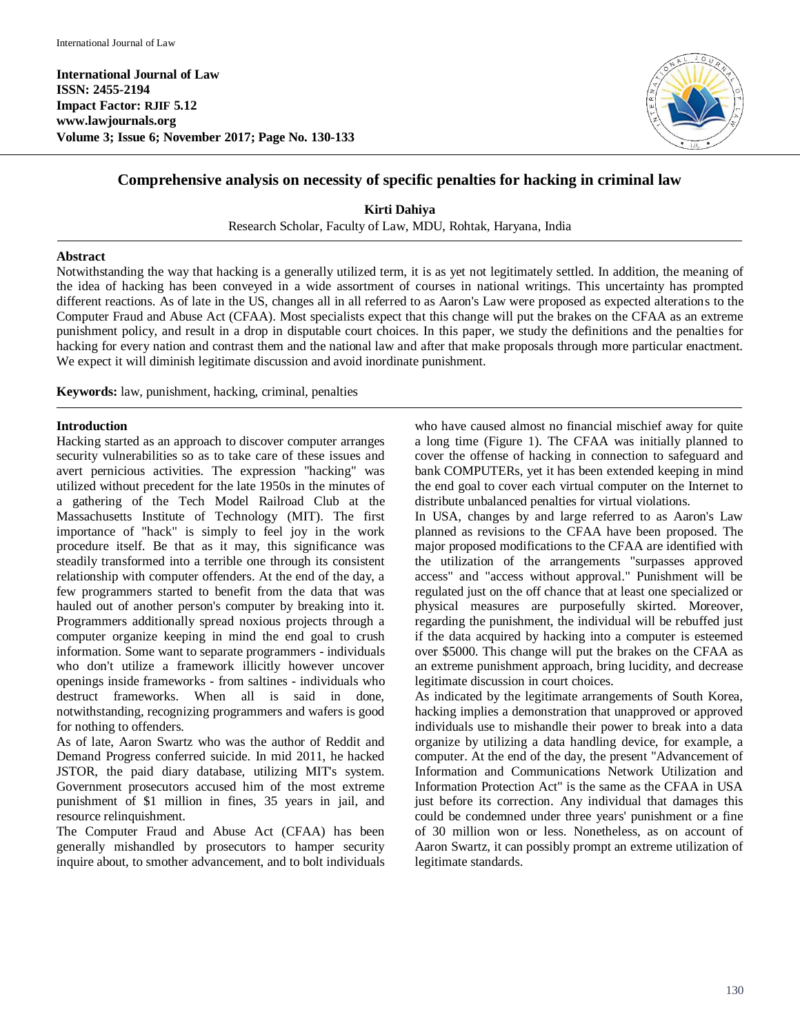**International Journal of Law ISSN: 2455-2194 Impact Factor: RJIF 5.12 www.lawjournals.org Volume 3; Issue 6; November 2017; Page No. 130-133**



# **Comprehensive analysis on necessity of specific penalties for hacking in criminal law**

**Kirti Dahiya** Research Scholar, Faculty of Law, MDU, Rohtak, Haryana, India

# **Abstract**

Notwithstanding the way that hacking is a generally utilized term, it is as yet not legitimately settled. In addition, the meaning of the idea of hacking has been conveyed in a wide assortment of courses in national writings. This uncertainty has prompted different reactions. As of late in the US, changes all in all referred to as Aaron's Law were proposed as expected alterations to the Computer Fraud and Abuse Act (CFAA). Most specialists expect that this change will put the brakes on the CFAA as an extreme punishment policy, and result in a drop in disputable court choices. In this paper, we study the definitions and the penalties for hacking for every nation and contrast them and the national law and after that make proposals through more particular enactment. We expect it will diminish legitimate discussion and avoid inordinate punishment.

**Keywords:** law, punishment, hacking, criminal, penalties

#### **Introduction**

Hacking started as an approach to discover computer arranges security vulnerabilities so as to take care of these issues and avert pernicious activities. The expression "hacking" was utilized without precedent for the late 1950s in the minutes of a gathering of the Tech Model Railroad Club at the Massachusetts Institute of Technology (MIT). The first importance of "hack" is simply to feel joy in the work procedure itself. Be that as it may, this significance was steadily transformed into a terrible one through its consistent relationship with computer offenders. At the end of the day, a few programmers started to benefit from the data that was hauled out of another person's computer by breaking into it. Programmers additionally spread noxious projects through a computer organize keeping in mind the end goal to crush information. Some want to separate programmers - individuals who don't utilize a framework illicitly however uncover openings inside frameworks - from saltines - individuals who destruct frameworks. When all is said in done, notwithstanding, recognizing programmers and wafers is good for nothing to offenders.

As of late, Aaron Swartz who was the author of Reddit and Demand Progress conferred suicide. In mid 2011, he hacked JSTOR, the paid diary database, utilizing MIT's system. Government prosecutors accused him of the most extreme punishment of \$1 million in fines, 35 years in jail, and resource relinquishment.

The Computer Fraud and Abuse Act (CFAA) has been generally mishandled by prosecutors to hamper security inquire about, to smother advancement, and to bolt individuals

who have caused almost no financial mischief away for quite a long time (Figure 1). The CFAA was initially planned to cover the offense of hacking in connection to safeguard and bank COMPUTERs, yet it has been extended keeping in mind the end goal to cover each virtual computer on the Internet to distribute unbalanced penalties for virtual violations.

In USA, changes by and large referred to as Aaron's Law planned as revisions to the CFAA have been proposed. The major proposed modifications to the CFAA are identified with the utilization of the arrangements "surpasses approved access" and "access without approval." Punishment will be regulated just on the off chance that at least one specialized or physical measures are purposefully skirted. Moreover, regarding the punishment, the individual will be rebuffed just if the data acquired by hacking into a computer is esteemed over \$5000. This change will put the brakes on the CFAA as an extreme punishment approach, bring lucidity, and decrease legitimate discussion in court choices.

As indicated by the legitimate arrangements of South Korea, hacking implies a demonstration that unapproved or approved individuals use to mishandle their power to break into a data organize by utilizing a data handling device, for example, a computer. At the end of the day, the present "Advancement of Information and Communications Network Utilization and Information Protection Act" is the same as the CFAA in USA just before its correction. Any individual that damages this could be condemned under three years' punishment or a fine of 30 million won or less. Nonetheless, as on account of Aaron Swartz, it can possibly prompt an extreme utilization of legitimate standards.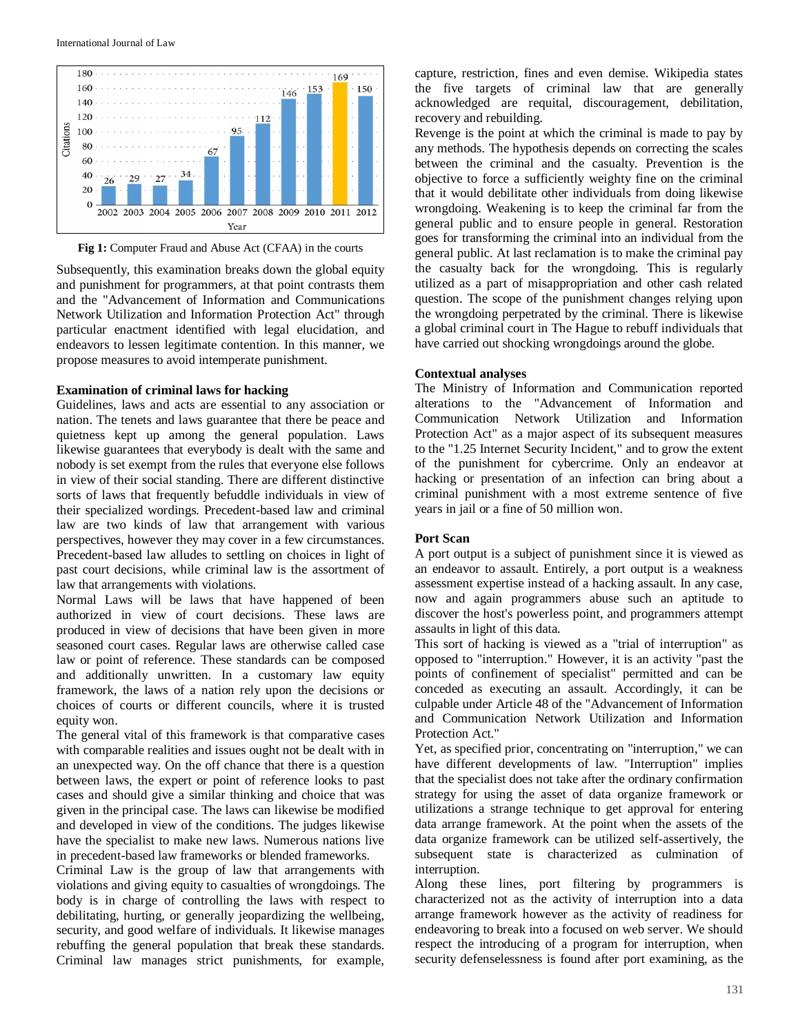

**Fig 1:** Computer Fraud and Abuse Act (CFAA) in the courts

Subsequently, this examination breaks down the global equity and punishment for programmers, at that point contrasts them and the "Advancement of Information and Communications Network Utilization and Information Protection Act" through particular enactment identified with legal elucidation, and endeavors to lessen legitimate contention. In this manner, we propose measures to avoid intemperate punishment.

#### **Examination of criminal laws for hacking**

Guidelines, laws and acts are essential to any association or nation. The tenets and laws guarantee that there be peace and quietness kept up among the general population. Laws likewise guarantees that everybody is dealt with the same and nobody is set exempt from the rules that everyone else follows in view of their social standing. There are different distinctive sorts of laws that frequently befuddle individuals in view of their specialized wordings. Precedent-based law and criminal law are two kinds of law that arrangement with various perspectives, however they may cover in a few circumstances. Precedent-based law alludes to settling on choices in light of past court decisions, while criminal law is the assortment of law that arrangements with violations.

Normal Laws will be laws that have happened of been authorized in view of court decisions. These laws are produced in view of decisions that have been given in more seasoned court cases. Regular laws are otherwise called case law or point of reference. These standards can be composed and additionally unwritten. In a customary law equity framework, the laws of a nation rely upon the decisions or choices of courts or different councils, where it is trusted equity won.

The general vital of this framework is that comparative cases with comparable realities and issues ought not be dealt with in an unexpected way. On the off chance that there is a question between laws, the expert or point of reference looks to past cases and should give a similar thinking and choice that was given in the principal case. The laws can likewise be modified and developed in view of the conditions. The judges likewise have the specialist to make new laws. Numerous nations live in precedent-based law frameworks or blended frameworks.

Criminal Law is the group of law that arrangements with violations and giving equity to casualties of wrongdoings. The body is in charge of controlling the laws with respect to debilitating, hurting, or generally jeopardizing the wellbeing, security, and good welfare of individuals. It likewise manages rebuffing the general population that break these standards. Criminal law manages strict punishments, for example,

capture, restriction, fines and even demise. Wikipedia states the five targets of criminal law that are generally acknowledged are requital, discouragement, debilitation, recovery and rebuilding.

Revenge is the point at which the criminal is made to pay by any methods. The hypothesis depends on correcting the scales between the criminal and the casualty. Prevention is the objective to force a sufficiently weighty fine on the criminal that it would debilitate other individuals from doing likewise wrongdoing. Weakening is to keep the criminal far from the general public and to ensure people in general. Restoration goes for transforming the criminal into an individual from the general public. At last reclamation is to make the criminal pay the casualty back for the wrongdoing. This is regularly utilized as a part of misappropriation and other cash related question. The scope of the punishment changes relying upon the wrongdoing perpetrated by the criminal. There is likewise a global criminal court in The Hague to rebuff individuals that have carried out shocking wrongdoings around the globe.

#### **Contextual analyses**

The Ministry of Information and Communication reported alterations to the "Advancement of Information and Communication Network Utilization and Information Protection Act" as a major aspect of its subsequent measures to the "1.25 Internet Security Incident," and to grow the extent of the punishment for cybercrime. Only an endeavor at hacking or presentation of an infection can bring about a criminal punishment with a most extreme sentence of five years in jail or a fine of 50 million won.

#### **Port Scan**

A port output is a subject of punishment since it is viewed as an endeavor to assault. Entirely, a port output is a weakness assessment expertise instead of a hacking assault. In any case, now and again programmers abuse such an aptitude to discover the host's powerless point, and programmers attempt assaults in light of this data.

This sort of hacking is viewed as a "trial of interruption" as opposed to "interruption." However, it is an activity "past the points of confinement of specialist" permitted and can be conceded as executing an assault. Accordingly, it can be culpable under Article 48 of the "Advancement of Information and Communication Network Utilization and Information Protection Act."

Yet, as specified prior, concentrating on "interruption," we can have different developments of law. "Interruption" implies that the specialist does not take after the ordinary confirmation strategy for using the asset of data organize framework or utilizations a strange technique to get approval for entering data arrange framework. At the point when the assets of the data organize framework can be utilized self-assertively, the subsequent state is characterized as culmination of interruption.

Along these lines, port filtering by programmers is characterized not as the activity of interruption into a data arrange framework however as the activity of readiness for endeavoring to break into a focused on web server. We should respect the introducing of a program for interruption, when security defenselessness is found after port examining, as the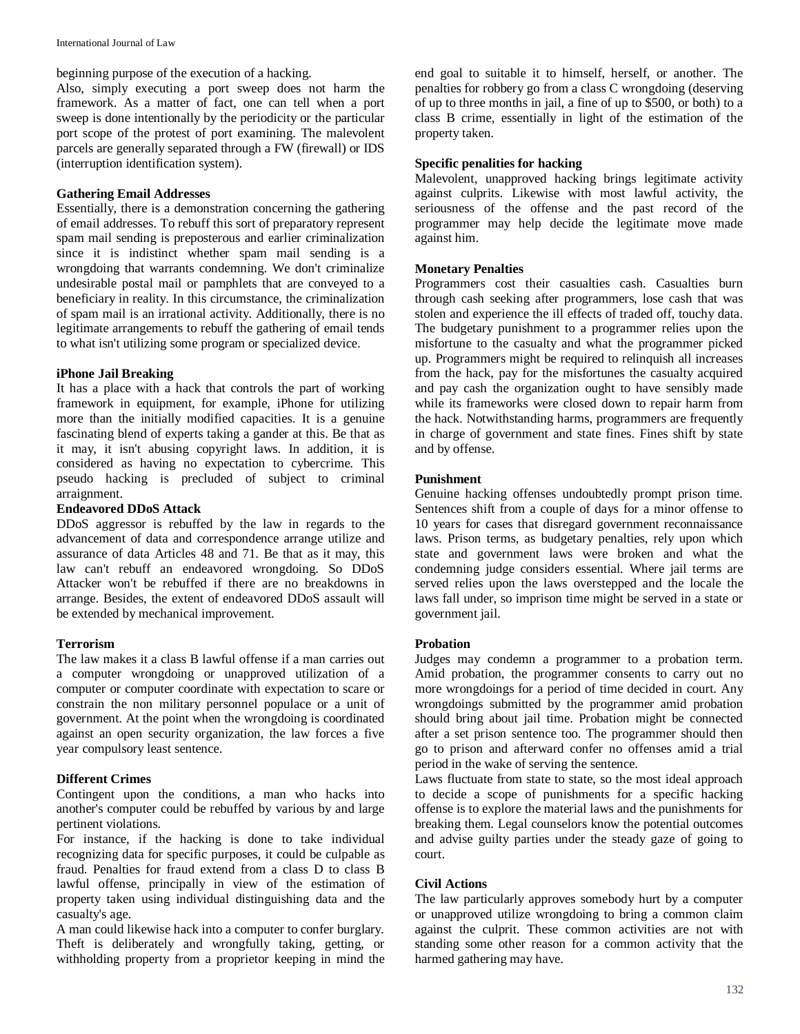beginning purpose of the execution of a hacking.

Also, simply executing a port sweep does not harm the framework. As a matter of fact, one can tell when a port sweep is done intentionally by the periodicity or the particular port scope of the protest of port examining. The malevolent parcels are generally separated through a FW (firewall) or IDS (interruption identification system).

# **Gathering Email Addresses**

Essentially, there is a demonstration concerning the gathering of email addresses. To rebuff this sort of preparatory represent spam mail sending is preposterous and earlier criminalization since it is indistinct whether spam mail sending is a wrongdoing that warrants condemning. We don't criminalize undesirable postal mail or pamphlets that are conveyed to a beneficiary in reality. In this circumstance, the criminalization of spam mail is an irrational activity. Additionally, there is no legitimate arrangements to rebuff the gathering of email tends to what isn't utilizing some program or specialized device.

## **iPhone Jail Breaking**

It has a place with a hack that controls the part of working framework in equipment, for example, iPhone for utilizing more than the initially modified capacities. It is a genuine fascinating blend of experts taking a gander at this. Be that as it may, it isn't abusing copyright laws. In addition, it is considered as having no expectation to cybercrime. This pseudo hacking is precluded of subject to criminal arraignment.

#### **Endeavored DDoS Attack**

DDoS aggressor is rebuffed by the law in regards to the advancement of data and correspondence arrange utilize and assurance of data Articles 48 and 71. Be that as it may, this law can't rebuff an endeavored wrongdoing. So DDoS Attacker won't be rebuffed if there are no breakdowns in arrange. Besides, the extent of endeavored DDoS assault will be extended by mechanical improvement.

#### **Terrorism**

The law makes it a class B lawful offense if a man carries out a computer wrongdoing or unapproved utilization of a computer or computer coordinate with expectation to scare or constrain the non military personnel populace or a unit of government. At the point when the wrongdoing is coordinated against an open security organization, the law forces a five year compulsory least sentence.

#### **Different Crimes**

Contingent upon the conditions, a man who hacks into another's computer could be rebuffed by various by and large pertinent violations.

For instance, if the hacking is done to take individual recognizing data for specific purposes, it could be culpable as fraud. Penalties for fraud extend from a class D to class B lawful offense, principally in view of the estimation of property taken using individual distinguishing data and the casualty's age.

A man could likewise hack into a computer to confer burglary. Theft is deliberately and wrongfully taking, getting, or withholding property from a proprietor keeping in mind the

end goal to suitable it to himself, herself, or another. The penalties for robbery go from a class C wrongdoing (deserving of up to three months in jail, a fine of up to \$500, or both) to a class B crime, essentially in light of the estimation of the property taken.

# **Specific penalities for hacking**

Malevolent, unapproved hacking brings legitimate activity against culprits. Likewise with most lawful activity, the seriousness of the offense and the past record of the programmer may help decide the legitimate move made against him.

## **Monetary Penalties**

Programmers cost their casualties cash. Casualties burn through cash seeking after programmers, lose cash that was stolen and experience the ill effects of traded off, touchy data. The budgetary punishment to a programmer relies upon the misfortune to the casualty and what the programmer picked up. Programmers might be required to relinquish all increases from the hack, pay for the misfortunes the casualty acquired and pay cash the organization ought to have sensibly made while its frameworks were closed down to repair harm from the hack. Notwithstanding harms, programmers are frequently in charge of government and state fines. Fines shift by state and by offense.

#### **Punishment**

Genuine hacking offenses undoubtedly prompt prison time. Sentences shift from a couple of days for a minor offense to 10 years for cases that disregard government reconnaissance laws. Prison terms, as budgetary penalties, rely upon which state and government laws were broken and what the condemning judge considers essential. Where jail terms are served relies upon the laws overstepped and the locale the laws fall under, so imprison time might be served in a state or government jail.

#### **Probation**

Judges may condemn a programmer to a probation term. Amid probation, the programmer consents to carry out no more wrongdoings for a period of time decided in court. Any wrongdoings submitted by the programmer amid probation should bring about jail time. Probation might be connected after a set prison sentence too. The programmer should then go to prison and afterward confer no offenses amid a trial period in the wake of serving the sentence.

Laws fluctuate from state to state, so the most ideal approach to decide a scope of punishments for a specific hacking offense is to explore the material laws and the punishments for breaking them. Legal counselors know the potential outcomes and advise guilty parties under the steady gaze of going to court.

# **Civil Actions**

The law particularly approves somebody hurt by a computer or unapproved utilize wrongdoing to bring a common claim against the culprit. These common activities are not with standing some other reason for a common activity that the harmed gathering may have.